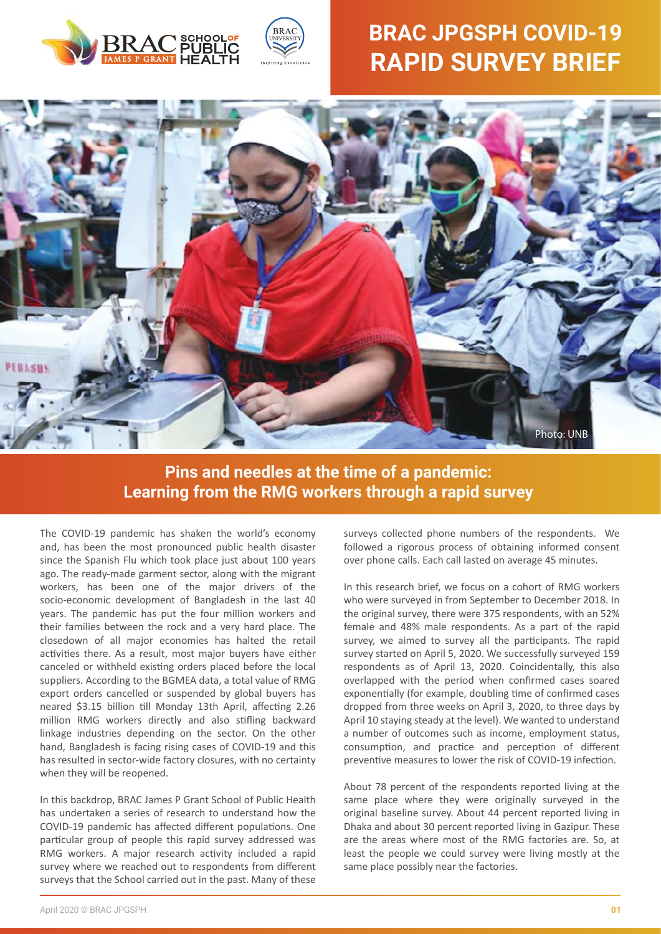



# **BRAC JPGSPH COVID-19 RAPID SURVEY BRIEF**



## **Pins and needles at the time of a pandemic: Learning from the RMG workers through a rapid survey**

The COVID-19 pandemic has shaken the world's economy and, has been the most pronounced public health disaster since the Spanish Flu which took place just about 100 years ago. The ready-made garment sector, along with the migrant workers, has been one of the major drivers of the socio-economic development of Bangladesh in the last 40 years. The pandemic has put the four million workers and their families between the rock and a very hard place. The closedown of all major economies has halted the retail activities there. As a result, most major buyers have either canceled or withheld existing orders placed before the local suppliers. According to the BGMEA data, a total value of RMG export orders cancelled or suspended by global buyers has neared \$3.15 billion till Monday 13th April, affecting 2.26 million RMG workers directly and also stifling backward linkage industries depending on the sector. On the other hand, Bangladesh is facing rising cases of COVID-19 and this has resulted in sector-wide factory closures, with no certainty when they will be reopened.

In this backdrop, BRAC James P Grant School of Public Health has undertaken a series of research to understand how the COVID-19 pandemic has affected different populations. One particular group of people this rapid survey addressed was RMG workers. A major research activity included a rapid survey where we reached out to respondents from different surveys that the School carried out in the past. Many of these surveys collected phone numbers of the respondents. We followed a rigorous process of obtaining informed consent over phone calls. Each call lasted on average 45 minutes.

In this research brief, we focus on a cohort of RMG workers who were surveyed in from September to December 2018. In the original survey, there were 375 respondents, with an 52% female and 48% male respondents. As a part of the rapid survey, we aimed to survey all the participants. The rapid survey started on April 5, 2020. We successfully surveyed 159 respondents as of April 13, 2020. Coincidentally, this also overlapped with the period when confirmed cases soared exponentially (for example, doubling time of confirmed cases dropped from three weeks on April 3, 2020, to three days by April 10 staying steady at the level). We wanted to understand a number of outcomes such as income, employment status, consumption, and practice and perception of different preventive measures to lower the risk of COVID-19 infection.

About 78 percent of the respondents reported living at the same place where they were originally surveyed in the original baseline survey. About 44 percent reported living in Dhaka and about 30 percent reported living in Gazipur. These are the areas where most of the RMG factories are. So, at least the people we could survey were living mostly at the same place possibly near the factories.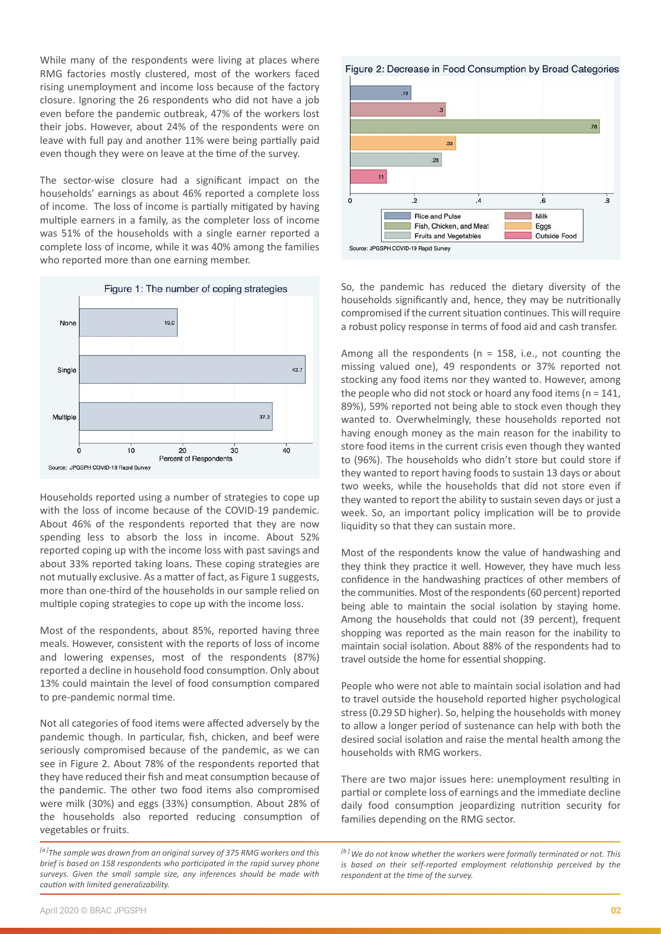While many of the respondents were living at places where RMG factories mostly clustered, most of the workers faced rising unemployment and income loss because of the factory closure. Ignoring the 26 respondents who did not have a job even before the pandemic outbreak, 47% of the workers lost their jobs. However, about 24% of the respondents were on leave with full pay and another 11% were being partially paid even though they were on leave at the time of the survey.

The sector-wise closure had a significant impact on the households' earnings as about 46% reported a complete loss of income. The loss of income is partially mitigated by having multiple earners in a family, as the completer loss of income was 51% of the households with a single earner reported a complete loss of income, while it was 40% among the families who reported more than one earning member.



Households reported using a number of strategies to cope up with the loss of income because of the COVID-19 pandemic. About 46% of the respondents reported that they are now spending less to absorb the loss in income. About 52% reported coping up with the income loss with past savings and about 33% reported taking loans. These coping strategies are not mutually exclusive. As a matter of fact, as Figure 1 suggests, more than one-third of the households in our sample relied on multiple coping strategies to cope up with the income loss.

Most of the respondents, about 85%, reported having three meals. However, consistent with the reports of loss of income and lowering expenses, most of the respondents (87%) reported a decline in household food consumption. Only about 13% could maintain the level of food consumption compared to pre-pandemic normal time.

Not all categories of food items were affected adversely by the pandemic though. In par�cular, fish, chicken, and beef were seriously compromised because of the pandemic, as we can see in Figure 2. About 78% of the respondents reported that they have reduced their fish and meat consumption because of the pandemic. The other two food items also compromised were milk (30%) and eggs (33%) consumption. About 28% of the households also reported reducing consumption of vegetables or fruits.





So, the pandemic has reduced the dietary diversity of the households significantly and, hence, they may be nutritionally compromised if the current situation continues. This will require a robust policy response in terms of food aid and cash transfer.

Among all the respondents ( $n = 158$ , i.e., not counting the missing valued one), 49 respondents or 37% reported not stocking any food items nor they wanted to. However, among the people who did not stock or hoard any food items ( $n = 141$ , 89%), 59% reported not being able to stock even though they wanted to. Overwhelmingly, these households reported not having enough money as the main reason for the inability to store food items in the current crisis even though they wanted to (96%). The households who didn't store but could store if they wanted to report having foods to sustain 13 days or about two weeks, while the households that did not store even if they wanted to report the ability to sustain seven days or just a week. So, an important policy implication will be to provide liquidity so that they can sustain more.

Most of the respondents know the value of handwashing and they think they prac�ce it well. However, they have much less confidence in the handwashing practices of other members of the communities. Most of the respondents (60 percent) reported being able to maintain the social isolation by staying home. Among the households that could not (39 percent), frequent shopping was reported as the main reason for the inability to maintain social isolation. About 88% of the respondents had to travel outside the home for essential shopping.

People who were not able to maintain social isolation and had to travel outside the household reported higher psychological stress (0.29 SD higher). So, helping the households with money to allow a longer period of sustenance can help with both the desired social isolation and raise the mental health among the households with RMG workers.

There are two major issues here: unemployment resulting in partial or complete loss of earnings and the immediate decline daily food consumption jeopardizing nutrition security for families depending on the RMG sector.

*<sup>[</sup>a ]The sample was drawn from an original survey of 375 RMG workers and this brief is based on 158 respondents who participated in the rapid survey phone surveys. Given the small sample size, any inferences should be made with caution with limited generalizability.* 

*<sup>[</sup>b ]We do not know whether the workers were formally terminated or not. This is based on their self-reported employment relationship perceived by the respondent at the time of the survey.*